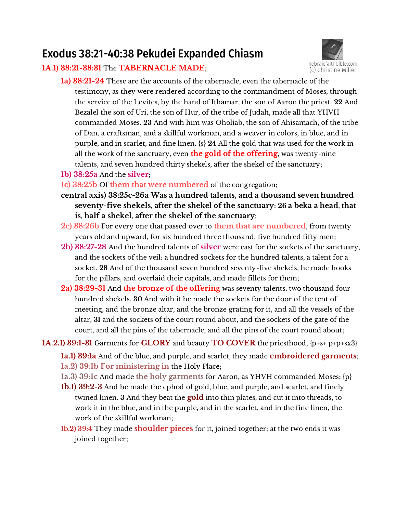# Exodus 38:21-40:38 Pekudei Expanded Chiasm

## **1A.1) 38:21-38:31** The **TABERNACLE MADE**;



- **1a) 38:21-24** These are the accounts of the tabernacle, even the tabernacle of the testimony, as they were rendered according to the commandment of Moses, through the service of the Levites, by the hand of Ithamar, the son of Aaron the priest. **22** And Bezalel the son of Uri, the son of Hur, of the tribe of Judah, made all that YHVH commanded Moses. **23** And with him was Oholiab, the son of Ahisamach, of the tribe of Dan, a craftsman, and a skillful workman, and a weaver in colors, in blue, and in purple, and in scarlet, and fine linen. {s} **24** All the gold that was used for the work in all the work of the sanctuary, even **the gold of the offering**, was twenty-nine talents, and seven hundred thirty shekels, after the shekel of the sanctuary;
- **1b) 38:25a** And the **silver**;
- **1c) 38:25b** Of **them that were numbered** of the congregation;
- **central axis) 38:25c-26a Was a hundred talents**, **and a thousand seven hundred seventy-five shekels**, **after the shekel of the sanctuary**: **26 a beka a head**, **that is**, **half a shekel**, **after the shekel of the sanctuary;**
- **2c) 38:26b** For every one that passed over to **them that are numbered**, from twenty years old and upward, for six hundred three thousand, five hundred fifty men;
- **2b) 38:27-28** And the hundred talents of **silver** were cast for the sockets of the sanctuary, and the sockets of the veil: a hundred sockets for the hundred talents, a talent for a socket. **28** And of the thousand seven hundred seventy-five shekels, he made hooks for the pillars, and overlaid their capitals, and made fillets for them;
- **2a) 38:29-31** And **the bronze of the offering** was seventy talents, two thousand four hundred shekels. **30** And with it he made the sockets for the door of the tent of meeting, and the bronze altar, and the bronze grating for it, and all the vessels of the altar, **31** and the sockets of the court round about, and the sockets of the gate of the court, and all the pins of the tabernacle, and all the pins of the court round about;

## **1A.2.1) 39:1-31** Garments for **GLORY** and beauty **TO COVER** the priesthood; {p+s+ p+p+sx3}

- **1a.1) 39:1a** And of the blue, and purple, and scarlet, they made **embroidered garments**; **1a.2) 39:1b For ministering in** the Holy Place;
- **1a.3) 39:1c** And made **the holy garments** for Aaron, as YHVH commanded Moses; {p}
- **1b.1) 39:2-3** And he made the ephod of gold, blue, and purple, and scarlet, and finely twined linen. **3** And they beat the **gold** into thin plates, and cut it into threads, to work it in the blue, and in the purple, and in the scarlet, and in the fine linen, the work of the skillful workman;
- **1b.2) 39:4** They made **shoulder pieces** for it, joined together; at the two ends it was joined together;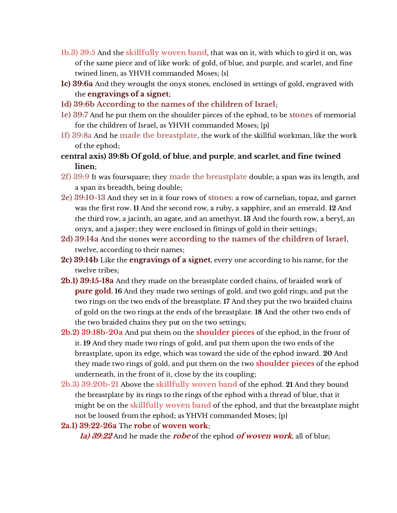- **1b.3) 39:5** And the **skillfully woven band**, that was on it, with which to gird it on, was of the same piece and of like work: of gold, of blue, and purple, and scarlet, and fine twined linen, as YHVH commanded Moses; {s}
- **1c) 39:6a** And they wrought the onyx stones, enclosed in settings of gold, engraved with the **engravings of a signet**;
- **1d) 39:6b According to the names of the children of Israel**;
- **1e) 39:7** And he put them on the shoulder pieces of the ephod, to be **stones** of memorial for the children of Israel, as YHVH commanded Moses; {p}
- **1f) 39:8a** And he **made the breastplate**, the work of the skillful workman, like the work of the ephod;
- **central axis) 39:8b Of gold**, **of blue**, **and purple**, **and scarlet**, **and fine twined linen**;
- **2f) 39:9** It was foursquare; they **made the breastplate** double; a span was its length, and a span its breadth, being double;
- **2e) 39:10-13** And they set in it four rows of **stones**: a row of carnelian, topaz, and garnet was the first row. **11** And the second row, a ruby, a sapphire, and an emerald. **12** And the third row, a jacinth, an agate, and an amethyst. **13** And the fourth row, a beryl, an onyx, and a jasper; they were enclosed in fittings of gold in their settings;
- **2d) 39:14a** And the stones were **according to the names of the children of Israel**, twelve, according to their names;
- **2c) 39:14b** Like the **engravings of a signet**, every one according to his name, for the twelve tribes;
- **2b.1) 39:15-18a** And they made on the breastplate corded chains, of braided work of **pure gold**. **16** And they made two settings of gold, and two gold rings; and put the two rings on the two ends of the breastplate. **17** And they put the two braided chains of gold on the two rings at the ends of the breastplate. **18** And the other two ends of the two braided chains they put on the two settings;
- **2b.2) 39:18b-20a** And put them on the **shoulder pieces** of the ephod, in the front of it. **19** And they made two rings of gold, and put them upon the two ends of the breastplate, upon its edge, which was toward the side of the ephod inward. **20** And they made two rings of gold, and put them on the two **shoulder pieces** of the ephod underneath, in the front of it, close by the its coupling;
- **2b.3) 39:20b-21** Above the **skillfully woven band** of the ephod. **21** And they bound the breastplate by its rings to the rings of the ephod with a thread of blue, that it might be on the **skillfully woven band** of the ephod, and that the breastplate might not be loosed from the ephod; as YHVH commanded Moses; {p}
- **2a.1) 39:22-26a** The **robe** of **woven work**;

**1a) 39:22** And he made the **robe** of the ephod **of woven work**, all of blue;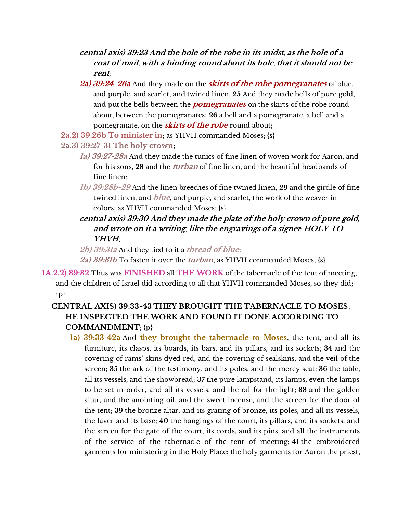- **central axis) 39:23 And the hole of the robe in its midst**, **as the hole of a coat of mail**, **with a binding round about its hole**, **that it should not be rent**;
- **2a) 39:24-26a** And they made on the **skirts of the robe pomegranates** of blue, and purple, and scarlet, and twined linen. **25** And they made bells of pure gold, and put the bells between the **pomegranates** on the skirts of the robe round about, between the pomegranates: **26** a bell and a pomegranate, a bell and a pomegranate, on the **skirts of the robe** round about;
- **2a.2) 39:26b To minister in**; as YHVH commanded Moses; {s}
- **2a.3) 39:27-31 The holy crown**;
	- **1a) 39:27-28a** And they made the tunics of fine linen of woven work for Aaron, and for his sons, **28** and the **turban** of fine linen, and the beautiful headbands of fine linen;
	- **1b) 39:28b-29** And the linen breeches of fine twined linen, **29** and the girdle of fine twined linen, and **blue**, and purple, and scarlet, the work of the weaver in colors; as YHVH commanded Moses; {s}
	- **central axis) 39:30 And they made the plate of the holy crown of pure gold**, **and wrote on it a writing**, **like the engravings of a signet**: **HOLY TO YHVH**;
	- **2b) 39:31a** And they tied to it a **thread of blue**;
	- **2a) 39:31b** To fasten it over the **turban**; as YHVH commanded Moses; **{s}**
- **1A.2.2) 39:32** Thus was **FINISHED** all **THE WORK** of the tabernacle of the tent of meeting; and the children of Israel did according to all that YHVH commanded Moses, so they did;  $\{p\}$

## **CENTRAL AXIS) 39:33-43 THEY BROUGHT THE TABERNACLE TO MOSES**, **HE INSPECTED THE WORK AND FOUND IT DONE ACCORDING TO COMMANDMENT**; {p}

**1a) 39:33-42a** And **they brought the tabernacle to Moses**, the tent, and all its furniture, its clasps, its boards, its bars, and its pillars, and its sockets; **34** and the covering of rams' skins dyed red, and the covering of sealskins, and the veil of the screen; **35** the ark of the testimony, and its poles, and the mercy seat; **36** the table, all its vessels, and the showbread; **37** the pure lampstand, its lamps, even the lamps to be set in order, and all its vessels, and the oil for the light; **38** and the golden altar, and the anointing oil, and the sweet incense, and the screen for the door of the tent; **39** the bronze altar, and its grating of bronze, its poles, and all its vessels, the laver and its base; **40** the hangings of the court, its pillars, and its sockets, and the screen for the gate of the court, its cords, and its pins, and all the instruments of the service of the tabernacle of the tent of meeting; **41** the embroidered garments for ministering in the Holy Place; the holy garments for Aaron the priest,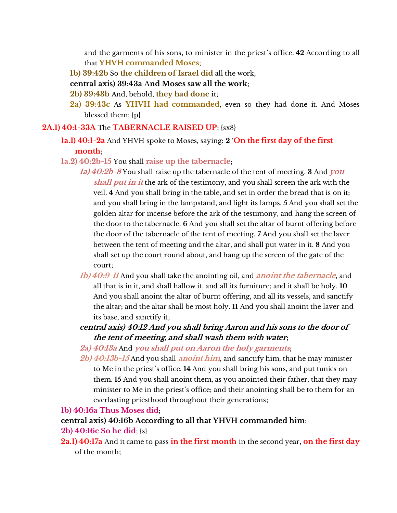and the garments of his sons, to minister in the priest's office. **42** According to all that **YHVH commanded Moses**;

- **1b) 39:42b** So **the children of Israel did** all the work;
- **central axis) 39:43a** A**nd Moses saw all the work**;
- **2b) 39:43b** And, behold, **they had done** it;
- **2a) 39:43c** As **YHVH had commanded**, even so they had done it. And Moses blessed them; {p}

#### **2A.1) 40:1-33A** The **TABERNACLE RAISED UP**; {sx8}

- **1a.1) 40:1-2a** And YHVH spoke to Moses, saying: **2** '**On the first day of the first month**;
- **1a.2) 40:2b-15** You shall **raise up the tabernacle**;
	- **1a) 40:2b-8** You shall raise up the tabernacle of the tent of meeting. **3** And **you shall put in it** the ark of the testimony, and you shall screen the ark with the veil. **4** And you shall bring in the table, and set in order the bread that is on it; and you shall bring in the lampstand, and light its lamps. **5** And you shall set the golden altar for incense before the ark of the testimony, and hang the screen of the door to the tabernacle. **6** And you shall set the altar of burnt offering before the door of the tabernacle of the tent of meeting. **7** And you shall set the laver between the tent of meeting and the altar, and shall put water in it. **8** And you shall set up the court round about, and hang up the screen of the gate of the court;
	- **1b) 40:9-11** And you shall take the anointing oil, and **anoint the tabernacle**, and all that is in it, and shall hallow it, and all its furniture; and it shall be holy. **10** And you shall anoint the altar of burnt offering, and all its vessels, and sanctify the altar; and the altar shall be most holy. **11** And you shall anoint the laver and its base, and sanctify it;
	- **central axis) 40:12 And you shall bring Aaron and his sons to the door of the tent of meeting**, **and shall wash them with water**;

## **2a) 40:13a** And **you shall put on Aaron the holy garments**;

**2b) 40:13b-15** And you shall **anoint him**, and sanctify him, that he may minister to Me in the priest's office. **14** And you shall bring his sons, and put tunics on them. **15** And you shall anoint them, as you anointed their father, that they may minister to Me in the priest's office; and their anointing shall be to them for an everlasting priesthood throughout their generations;

**1b) 40:16a Thus Moses did**;

**central axis) 40:16b According to all that YHVH commanded him**;

- **2b) 40:16c So he did**; {s}
- **2a.1) 40:17a** And it came to pass **in the first month** in the second year, **on the first day** of the month;